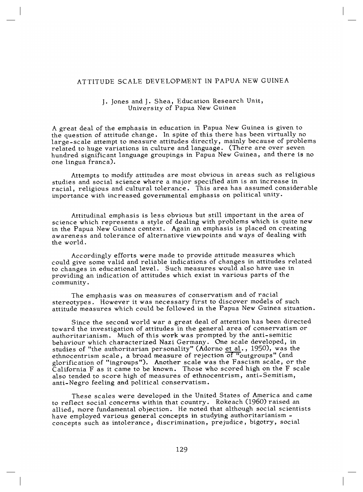## ATTITUDE SCALE DEVELOPMENT IN PAPUA NEW GUINEA

## J. Jones and J. Shea, Education Research Unit, University of Papua New Guinea

A great deal of the emphasis in education in Papua New Guinea is given to the question of attitude change. In spite of this there has been virtually no large-scale attempt to measure attitudes directly, mainly because of problems related to huge variations in culture and language. (There are over seven hundred significant language groupings in Papua New Guinea, and there is no one lingua franca).

Attempts to modify attitudes are most obvious in areas such as religious studies and social science where a major specified aim is an increase in racial, religious and cultural tolerance. This area has assumed considerable importance with increased governmental emphasis on political unity.

Attitudinal emphasis is less obvious but still important in the area of science which represents a style of dealing with problems which is quite new in the Papua New Guinea context. Again an emphasis is placed on creating awareness and tolerance of alternative viewpoints and ways of dealing with the world.

Accordingly efforts were made to provide attitude measures which could give some valid and reliable indications of changes in attitudes related to changes in educational level. Such measures would also have use in providing an indication of attitudes which exist in various parts of the community.

The emphasis was on measures of conservatism and of racial stereotypes. However it was necessary first to discover models of such attitude measures which could be followed in the Papua New Guinea situation.

Since the second world war a great deal of attention has been directed toward the investigation of attitudes in the general area of conservatism or authoritarianism. Much of this work was prompted by the anti-semitic behaviour which characterized Nazi Germany. One scale developed, in studies of "the authoritarian personality" (Adorno et al., 1950), was the ethnocentrism scale, a broad measure of rejection of "outgroups" (and glorification of "ingroups"). Another scale was the Fascism scale, or the California F as it came to be known. Those who scored high on the F scale also tended to score high of measures of ethnocentrism, anti-Semitism, anti-Negro feeling and political conservatism.

These scales were developed in the United States of America and came to reflect social concerns within that country. Rokeach (1960) raised an allied, more fundamental objection. He noted that although social scientists have employed various general concepts in studying authoritarianism concepts such as intolerance, discrimination, prejudice, bigotry, social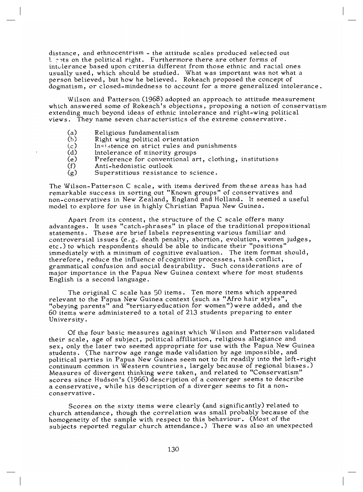distance, and ethnocentrism - the attitude scales produced selected out t sots on the political right. Furthermore there are other forms of intolerance based upon criteria different from those ethnic and racial ones usually used, which should be studied. What was important was not what a person believed, but how he believed. Rokeach proposed the concept of dogmatism, or closed-mindedness to account for a more generalized intolerance.

Wilson and Patterson (1968) adopted an approach to attitude measurement which answered some of Rokeach's objections, proposing a notion of conservatism extending much beyond ideas of ethnic intolerance and right-wing political views. They name seven characteristics of the extreme conservative.

- (a) Religious fundamentalism
- (b) Right wing political orientation<br>(c) Insistence on strict rules and p
- (c) Insistence on strict rules and punishments<br>(d) Intolerance of minority groups
- 
- (d) Intolerance of minority groups<br>(e) Preference for conventional are (e) Preference for conventional art, clothing, institutions
- (f) Anti-hedonistic outlook<br>(g) Superstitious resistanc
- Superstitious resistance to science.

The Wilson-Patterson C scale, with items derived from these areas has had remarkable success in sorting out "Known groups" of conservatives and non-conservatives in New Zealand, England and Holland. It seemed a useful model to explore for use in highly Christian Papua New Guinea.

Apart from its content, the structure of the C scale offers many advantages. It uses "catch-phrases" in place of the traditional propositional statements. These are brief labels representing various familiar and controversial issues (e.g. death penalty, abortion, evolution, women judges, etc.) to which respondents should be able to indicate their "positions" immediately with a minimum of cognitive evaluation. The item format should, therefore, reduce the influence of cognitive processes, task conflict, grammatical confusion and social desirability. Such considerations are of major importance in the Papua New Guinea context where for most students English is a second language.

The original C scale has 50 items. Ten more items which appeared relevant to the Papua New Guinea context (such as "Afro hair styles", "obeying parents" and "tertiary education for women")were added, and the 60 items were administered to a total of 213 students preparing to enter University.

Of the four basic measures against which Wilson and Patterson validated their scale, age of subject, political affiliation, religious allegiance and sex, only the later two seemed appropriate for use with the Papua New Guinea students. (The narrow age range made validation by age impossible, and political parties in Papua New Guinea seem not to fit readily into the left-right continuum common in Western countries, largely because of regional biases.) Measures of divergent thinking were taken, and related to "Conservatism" scores since Hudson's (1966) description of a converger seems to describe a conservative, while his description of a diverger seems to fit a nonconservative .

Scores on the sixty items were clearly (and significantly) related to church attendance, though the correlation was small probably because of the homogeneity of the sample with respect to this behaviour. (Most of the subjects reported regular church attendance.) There was also an unexpected